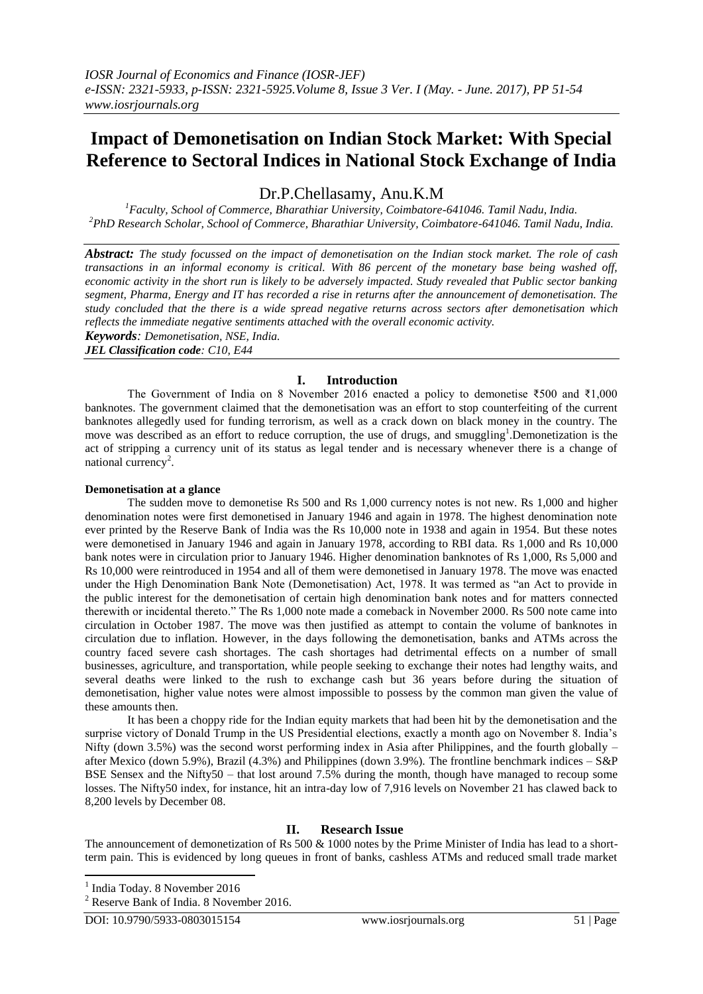# **Impact of Demonetisation on Indian Stock Market: With Special Reference to Sectoral Indices in National Stock Exchange of India**

Dr.P.Chellasamy, Anu.K.M *<sup>1</sup>Faculty, School of Commerce, Bharathiar University, Coimbatore-641046. Tamil Nadu, India. <sup>2</sup>PhD Research Scholar, School of Commerce, Bharathiar University, Coimbatore-641046. Tamil Nadu, India.*

*Abstract: The study focussed on the impact of demonetisation on the Indian stock market. The role of cash transactions in an informal economy is critical. With 86 percent of the monetary base being washed off, economic activity in the short run is likely to be adversely impacted. Study revealed that Public sector banking segment, Pharma, Energy and IT has recorded a rise in returns after the announcement of demonetisation. The study concluded that the there is a wide spread negative returns across sectors after demonetisation which reflects the immediate negative sentiments attached with the overall economic activity. Keywords: Demonetisation, NSE, India.*

*JEL Classification code: C10, E44*

# **I. Introduction**

The Government of India on 8 November 2016 enacted a policy to demonetise ₹500 and ₹1,000 banknotes. The government claimed that the demonetisation was an effort to stop counterfeiting of the current banknotes allegedly used for funding terrorism, as well as a crack down on black money in the country. The move was described as an effort to reduce corruption, the use of drugs, and smuggling<sup>1</sup>. Demonetization is the act of stripping a currency unit of its status as legal tender and is necessary whenever there is a change of national currency<sup>2</sup>.

#### **Demonetisation at a glance**

The sudden move to demonetise Rs 500 and Rs 1,000 currency notes is not new. Rs 1,000 and higher denomination notes were first demonetised in January 1946 and again in 1978. The highest denomination note ever printed by the Reserve Bank of India was the Rs 10,000 note in 1938 and again in 1954. But these notes were demonetised in January 1946 and again in January 1978, according to RBI data. Rs 1,000 and Rs 10,000 bank notes were in circulation prior to January 1946. Higher denomination banknotes of Rs 1,000, Rs 5,000 and Rs 10,000 were reintroduced in 1954 and all of them were demonetised in January 1978. The move was enacted under the High Denomination Bank Note (Demonetisation) Act, 1978. It was termed as "an Act to provide in the public interest for the demonetisation of certain high denomination bank notes and for matters connected therewith or incidental thereto." The Rs 1,000 note made a comeback in November 2000. Rs 500 note came into circulation in October 1987. The move was then justified as attempt to contain the volume of banknotes in circulation due to inflation. However, in the days following the demonetisation, banks and ATMs across the country faced severe cash shortages. The cash shortages had detrimental effects on a number of small businesses, agriculture, and transportation, while people seeking to exchange their notes had lengthy waits, and several deaths were linked to the rush to exchange cash but 36 years before during the situation of demonetisation, higher value notes were almost impossible to possess by the common man given the value of these amounts then.

It has been a choppy ride for the Indian equity markets that had been hit by the demonetisation and the surprise victory of Donald Trump in the US Presidential elections, exactly a month ago on November 8. India's Nifty (down 3.5%) was the second worst performing index in Asia after Philippines, and the fourth globally – after Mexico (down 5.9%), Brazil (4.3%) and Philippines (down 3.9%). The frontline benchmark indices – S&P BSE Sensex and the Nifty50 – that lost around 7.5% during the month, though have managed to recoup some losses. The Nifty50 index, for instance, hit an intra-day low of 7,916 levels on November 21 has clawed back to 8,200 levels by December 08.

#### **II. Research Issue**

The announcement of demonetization of Rs 500 & 1000 notes by the Prime Minister of India has lead to a shortterm pain. This is evidenced by long queues in front of banks, cashless ATMs and reduced small trade market

1 India Today. 8 November 2016

<sup>2</sup> Reserve Bank of India. 8 November 2016.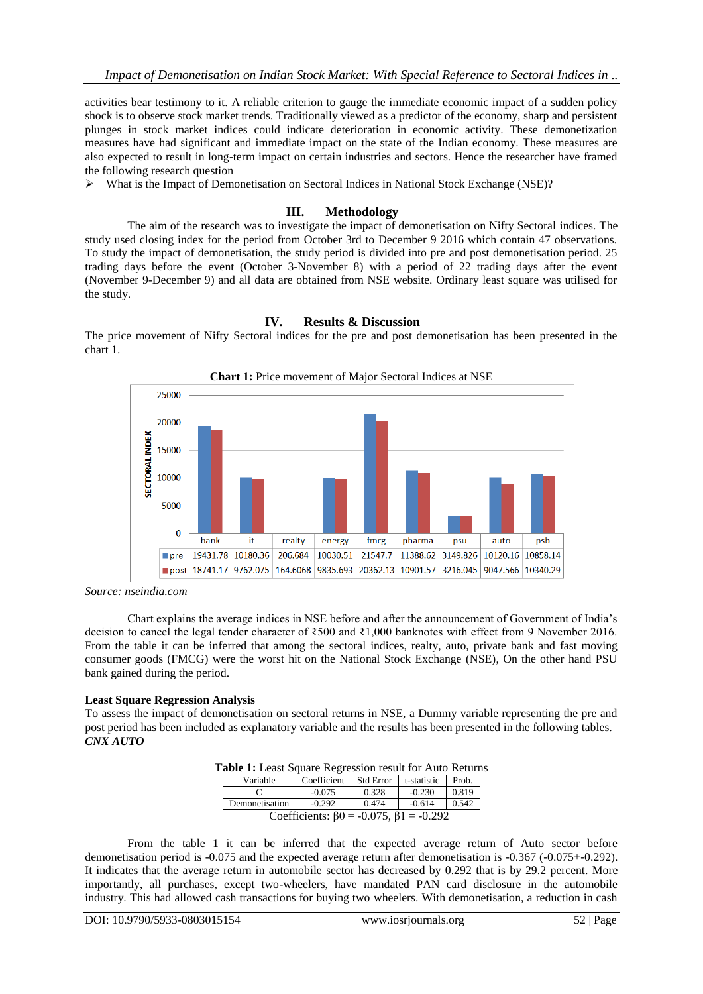activities bear testimony to it. A reliable criterion to gauge the immediate economic impact of a sudden policy shock is to observe stock market trends. Traditionally viewed as a predictor of the economy, sharp and persistent plunges in stock market indices could indicate deterioration in economic activity. These demonetization measures have had significant and immediate impact on the state of the Indian economy. These measures are also expected to result in long-term impact on certain industries and sectors. Hence the researcher have framed the following research question

What is the Impact of Demonetisation on Sectoral Indices in National Stock Exchange (NSE)?

# **III. Methodology**

The aim of the research was to investigate the impact of demonetisation on Nifty Sectoral indices. The study used closing index for the period from October 3rd to December 9 2016 which contain 47 observations. To study the impact of demonetisation, the study period is divided into pre and post demonetisation period. 25 trading days before the event (October 3-November 8) with a period of 22 trading days after the event (November 9-December 9) and all data are obtained from NSE website. Ordinary least square was utilised for the study.

# **IV. Results & Discussion**

The price movement of Nifty Sectoral indices for the pre and post demonetisation has been presented in the chart 1.



**Chart 1:** Price movement of Major Sectoral Indices at NSE

Chart explains the average indices in NSE before and after the announcement of Government of India's decision to cancel the legal tender character of ₹500 and ₹1,000 banknotes with effect from 9 November 2016. From the table it can be inferred that among the sectoral indices, realty, auto, private bank and fast moving consumer goods (FMCG) were the worst hit on the National Stock Exchange (NSE), On the other hand PSU bank gained during the period.

# **Least Square Regression Analysis**

To assess the impact of demonetisation on sectoral returns in NSE, a Dummy variable representing the pre and post period has been included as explanatory variable and the results has been presented in the following tables. *CNX AUTO*

|  |  | Table 1: Least Square Regression result for Auto Returns |  |  |  |  |
|--|--|----------------------------------------------------------|--|--|--|--|
|  |  |                                                          |  |  |  |  |

| Variable       | Coefficient                                          | <b>Std Error</b> | t-statistic | Prob. |
|----------------|------------------------------------------------------|------------------|-------------|-------|
|                | $-0.075$                                             | 0.328            | $-0.230$    | 0.819 |
| Demonetisation | $-0.292$                                             | 0.474            | $-0.614$    | 0.542 |
|                | Coefficients: $\beta$ 0 = -0.075, $\beta$ 1 = -0.292 |                  |             |       |

From the table 1 it can be inferred that the expected average return of Auto sector before demonetisation period is -0.075 and the expected average return after demonetisation is -0.367 (-0.075+-0.292). It indicates that the average return in automobile sector has decreased by 0.292 that is by 29.2 percent. More importantly, all purchases, except two-wheelers, have mandated PAN card disclosure in the automobile industry. This had allowed cash transactions for buying two wheelers. With demonetisation, a reduction in cash

*Source: nseindia.com*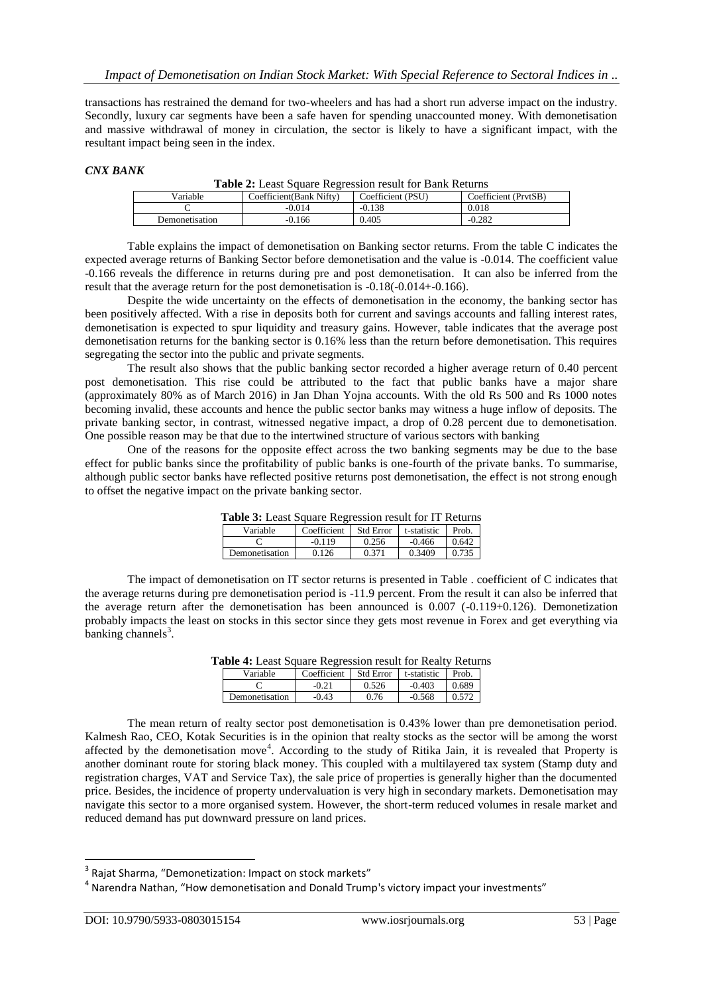transactions has restrained the demand for two-wheelers and has had a short run adverse impact on the industry. Secondly, luxury car segments have been a safe haven for spending unaccounted money. With demonetisation and massive withdrawal of money in circulation, the sector is likely to have a significant impact, with the resultant impact being seen in the index.

#### *CNX BANK*

| <b>Table 2:</b> Least Square Regression result for Bank Returns |                          |                   |                      |  |  |  |
|-----------------------------------------------------------------|--------------------------|-------------------|----------------------|--|--|--|
| Variable                                                        | Coefficient (Bank Nifty) | Coefficient (PSU) | Coefficient (PrytSB) |  |  |  |
|                                                                 | $-0.014$                 | $-0.138$          | 0.018                |  |  |  |
| Demonetisation                                                  | $-0.166$                 | 0.405             | $-0.282$             |  |  |  |

Table explains the impact of demonetisation on Banking sector returns. From the table C indicates the expected average returns of Banking Sector before demonetisation and the value is -0.014. The coefficient value -0.166 reveals the difference in returns during pre and post demonetisation. It can also be inferred from the result that the average return for the post demonetisation is -0.18(-0.014+-0.166).

Despite the wide uncertainty on the effects of demonetisation in the economy, the banking sector has been positively affected. With a rise in deposits both for current and savings accounts and falling interest rates, demonetisation is expected to spur liquidity and treasury gains. However, table indicates that the average post demonetisation returns for the banking sector is 0.16% less than the return before demonetisation. This requires segregating the sector into the public and private segments.

The result also shows that the public banking sector recorded a higher average return of 0.40 percent post demonetisation. This rise could be attributed to the fact that public banks have a major share (approximately 80% as of March 2016) in Jan Dhan Yojna accounts. With the old Rs 500 and Rs 1000 notes becoming invalid, these accounts and hence the public sector banks may witness a huge inflow of deposits. The private banking sector, in contrast, witnessed negative impact, a drop of 0.28 percent due to demonetisation. One possible reason may be that due to the intertwined structure of various sectors with banking

One of the reasons for the opposite effect across the two banking segments may be due to the base effect for public banks since the profitability of public banks is one-fourth of the private banks. To summarise, although public sector banks have reflected positive returns post demonetisation, the effect is not strong enough to offset the negative impact on the private banking sector.

| <b>1 able 5:</b> Least Square Regression result for 11 Returns<br>- Std Error<br>t-statistic<br>Prob.<br>Variable<br>Coefficient |          |       |          |       |
|----------------------------------------------------------------------------------------------------------------------------------|----------|-------|----------|-------|
|                                                                                                                                  |          |       |          |       |
|                                                                                                                                  | $-0.119$ | 0.256 | $-0.466$ | 0.642 |
| Demonetisation                                                                                                                   | 0.126    | 0.371 | 0.3409   | 0.735 |

**Table 3:** Least Square Regression result for IT Returns

The impact of demonetisation on IT sector returns is presented in Table . coefficient of C indicates that the average returns during pre demonetisation period is -11.9 percent. From the result it can also be inferred that the average return after the demonetisation has been announced is 0.007 (-0.119+0.126). Demonetization probably impacts the least on stocks in this sector since they gets most revenue in Forex and get everything via  $b$ anking channels<sup>3</sup>.

**Table 4:** Least Square Regression result for Realty Returns

| Variable       | Coefficient | Std Error | t-statistic | Prob. |
|----------------|-------------|-----------|-------------|-------|
|                | $-0.21$     | 0.526     | $-0.403$    | 0.689 |
| Demonetisation | $-0.43$     | 0.76      | $-0.568$    |       |

The mean return of realty sector post demonetisation is 0.43% lower than pre demonetisation period. Kalmesh Rao, CEO, Kotak Securities is in the opinion that realty stocks as the sector will be among the worst affected by the demonetisation move<sup>4</sup>. According to the study of Ritika Jain, it is revealed that Property is another dominant route for storing black money. This coupled with a multilayered tax system (Stamp duty and registration charges, VAT and Service Tax), the sale price of properties is generally higher than the documented price. Besides, the incidence of property undervaluation is very high in secondary markets. Demonetisation may navigate this sector to a more organised system. However, the short-term reduced volumes in resale market and reduced demand has put downward pressure on land prices.

 3 Rajat Sharma, "Demonetization: Impact on stock markets"

<sup>&</sup>lt;sup>4</sup> Narendra Nathan, "How demonetisation and Donald Trump's victory impact your investments"